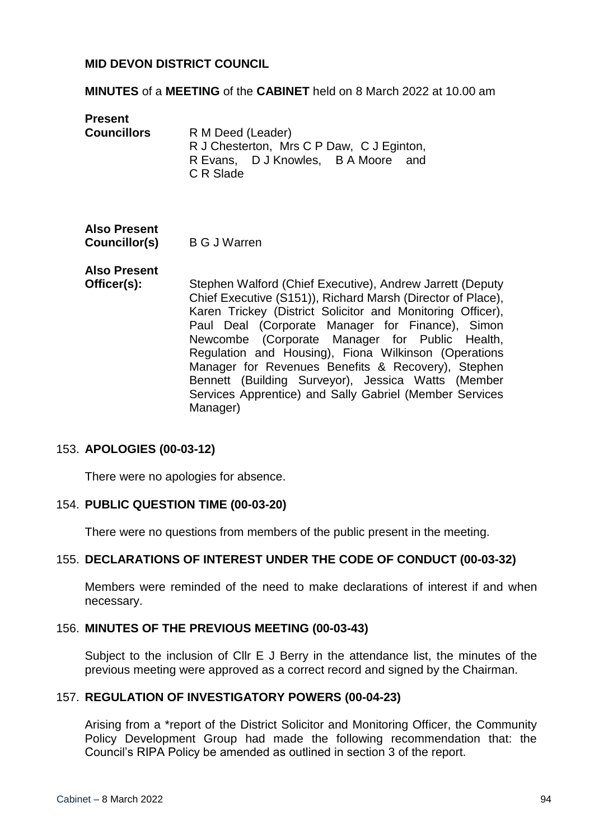#### **MID DEVON DISTRICT COUNCIL**

#### **MINUTES** of a **MEETING** of the **CABINET** held on 8 March 2022 at 10.00 am

**Present Councillors** R M Deed (Leader) R J Chesterton, Mrs C P Daw, C J Eginton, R Evans, D J Knowles, B A Moore and C R Slade

# **Also Present**

**Councillor(s)** B G J Warren

#### **Also Present**

**Officer(s):** Stephen Walford (Chief Executive), Andrew Jarrett (Deputy Chief Executive (S151)), Richard Marsh (Director of Place), Karen Trickey (District Solicitor and Monitoring Officer), Paul Deal (Corporate Manager for Finance), Simon Newcombe (Corporate Manager for Public Health, Regulation and Housing), Fiona Wilkinson (Operations Manager for Revenues Benefits & Recovery), Stephen Bennett (Building Surveyor), Jessica Watts (Member Services Apprentice) and Sally Gabriel (Member Services Manager)

#### 153. **APOLOGIES (00-03-12)**

There were no apologies for absence.

#### 154. **PUBLIC QUESTION TIME (00-03-20)**

There were no questions from members of the public present in the meeting.

#### 155. **DECLARATIONS OF INTEREST UNDER THE CODE OF CONDUCT (00-03-32)**

Members were reminded of the need to make declarations of interest if and when necessary.

#### 156. **MINUTES OF THE PREVIOUS MEETING (00-03-43)**

Subject to the inclusion of Cllr E J Berry in the attendance list, the minutes of the previous meeting were approved as a correct record and signed by the Chairman.

#### 157. **REGULATION OF INVESTIGATORY POWERS (00-04-23)**

Arising from a \*report of the District Solicitor and Monitoring Officer, the Community Policy Development Group had made the following recommendation that: the Council's RIPA Policy be amended as outlined in section 3 of the report.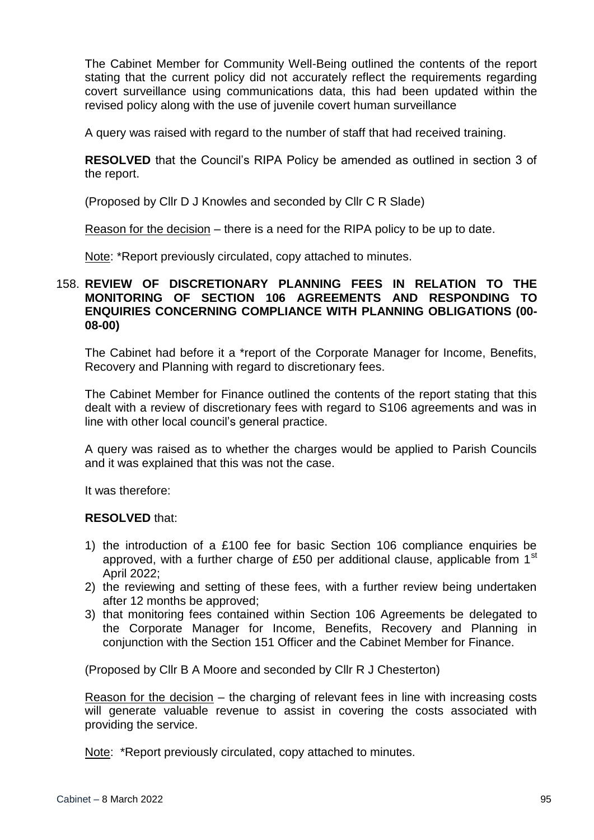The Cabinet Member for Community Well-Being outlined the contents of the report stating that the current policy did not accurately reflect the requirements regarding covert surveillance using communications data, this had been updated within the revised policy along with the use of juvenile covert human surveillance

A query was raised with regard to the number of staff that had received training.

**RESOLVED** that the Council's RIPA Policy be amended as outlined in section 3 of the report.

(Proposed by Cllr D J Knowles and seconded by Cllr C R Slade)

Reason for the decision – there is a need for the RIPA policy to be up to date.

Note: \*Report previously circulated, copy attached to minutes.

#### 158. **REVIEW OF DISCRETIONARY PLANNING FEES IN RELATION TO THE MONITORING OF SECTION 106 AGREEMENTS AND RESPONDING TO ENQUIRIES CONCERNING COMPLIANCE WITH PLANNING OBLIGATIONS (00- 08-00)**

The Cabinet had before it a \*report of the Corporate Manager for Income, Benefits, Recovery and Planning with regard to discretionary fees.

The Cabinet Member for Finance outlined the contents of the report stating that this dealt with a review of discretionary fees with regard to S106 agreements and was in line with other local council's general practice.

A query was raised as to whether the charges would be applied to Parish Councils and it was explained that this was not the case.

It was therefore:

#### **RESOLVED** that:

- 1) the introduction of a £100 fee for basic Section 106 compliance enquiries be approved, with a further charge of £50 per additional clause, applicable from  $1<sup>st</sup>$ April 2022;
- 2) the reviewing and setting of these fees, with a further review being undertaken after 12 months be approved;
- 3) that monitoring fees contained within Section 106 Agreements be delegated to the Corporate Manager for Income, Benefits, Recovery and Planning in conjunction with the Section 151 Officer and the Cabinet Member for Finance.

(Proposed by Cllr B A Moore and seconded by Cllr R J Chesterton)

Reason for the decision – the charging of relevant fees in line with increasing costs will generate valuable revenue to assist in covering the costs associated with providing the service.

Note: \*Report previously circulated, copy attached to minutes.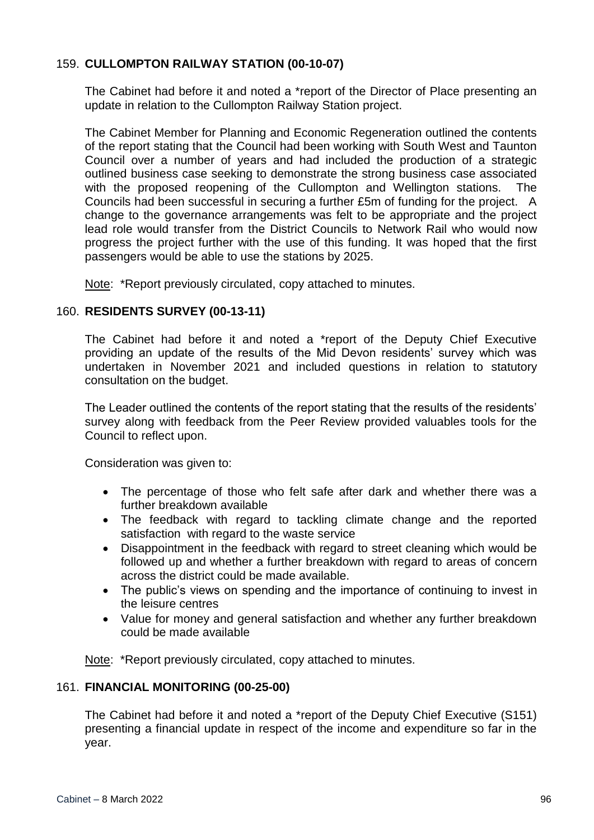## 159. **CULLOMPTON RAILWAY STATION (00-10-07)**

The Cabinet had before it and noted a \*report of the Director of Place presenting an update in relation to the Cullompton Railway Station project.

The Cabinet Member for Planning and Economic Regeneration outlined the contents of the report stating that the Council had been working with South West and Taunton Council over a number of years and had included the production of a strategic outlined business case seeking to demonstrate the strong business case associated with the proposed reopening of the Cullompton and Wellington stations. The Councils had been successful in securing a further £5m of funding for the project. A change to the governance arrangements was felt to be appropriate and the project lead role would transfer from the District Councils to Network Rail who would now progress the project further with the use of this funding. It was hoped that the first passengers would be able to use the stations by 2025.

Note: \*Report previously circulated, copy attached to minutes.

#### 160. **RESIDENTS SURVEY (00-13-11)**

The Cabinet had before it and noted a \*report of the Deputy Chief Executive providing an update of the results of the Mid Devon residents' survey which was undertaken in November 2021 and included questions in relation to statutory consultation on the budget.

The Leader outlined the contents of the report stating that the results of the residents' survey along with feedback from the Peer Review provided valuables tools for the Council to reflect upon.

Consideration was given to:

- The percentage of those who felt safe after dark and whether there was a further breakdown available
- The feedback with regard to tackling climate change and the reported satisfaction with regard to the waste service
- Disappointment in the feedback with regard to street cleaning which would be followed up and whether a further breakdown with regard to areas of concern across the district could be made available.
- The public's views on spending and the importance of continuing to invest in the leisure centres
- Value for money and general satisfaction and whether any further breakdown could be made available

Note: \*Report previously circulated, copy attached to minutes.

#### 161. **FINANCIAL MONITORING (00-25-00)**

The Cabinet had before it and noted a \*report of the Deputy Chief Executive (S151) presenting a financial update in respect of the income and expenditure so far in the year.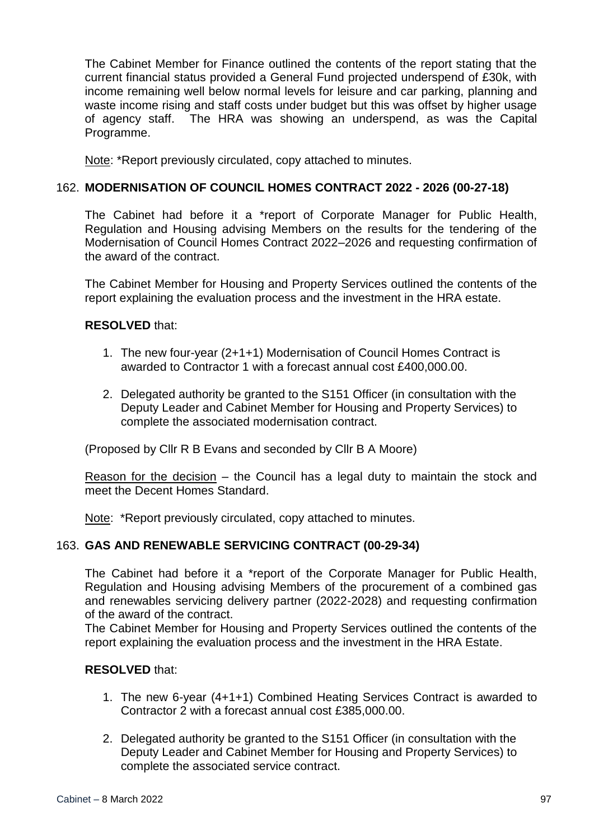The Cabinet Member for Finance outlined the contents of the report stating that the current financial status provided a General Fund projected underspend of £30k, with income remaining well below normal levels for leisure and car parking, planning and waste income rising and staff costs under budget but this was offset by higher usage of agency staff. The HRA was showing an underspend, as was the Capital Programme.

Note: \*Report previously circulated, copy attached to minutes.

## 162. **MODERNISATION OF COUNCIL HOMES CONTRACT 2022 - 2026 (00-27-18)**

The Cabinet had before it a \*report of Corporate Manager for Public Health, Regulation and Housing advising Members on the results for the tendering of the Modernisation of Council Homes Contract 2022–2026 and requesting confirmation of the award of the contract.

The Cabinet Member for Housing and Property Services outlined the contents of the report explaining the evaluation process and the investment in the HRA estate.

## **RESOLVED** that:

- 1. The new four-year (2+1+1) Modernisation of Council Homes Contract is awarded to Contractor 1 with a forecast annual cost £400,000.00.
- 2. Delegated authority be granted to the S151 Officer (in consultation with the Deputy Leader and Cabinet Member for Housing and Property Services) to complete the associated modernisation contract.

(Proposed by Cllr R B Evans and seconded by Cllr B A Moore)

Reason for the decision – the Council has a legal duty to maintain the stock and meet the Decent Homes Standard.

Note: \*Report previously circulated, copy attached to minutes.

#### 163. **GAS AND RENEWABLE SERVICING CONTRACT (00-29-34)**

The Cabinet had before it a \*report of the Corporate Manager for Public Health, Regulation and Housing advising Members of the procurement of a combined gas and renewables servicing delivery partner (2022-2028) and requesting confirmation of the award of the contract.

The Cabinet Member for Housing and Property Services outlined the contents of the report explaining the evaluation process and the investment in the HRA Estate.

#### **RESOLVED** that:

- 1. The new 6-year (4+1+1) Combined Heating Services Contract is awarded to Contractor 2 with a forecast annual cost £385,000.00.
- 2. Delegated authority be granted to the S151 Officer (in consultation with the Deputy Leader and Cabinet Member for Housing and Property Services) to complete the associated service contract.